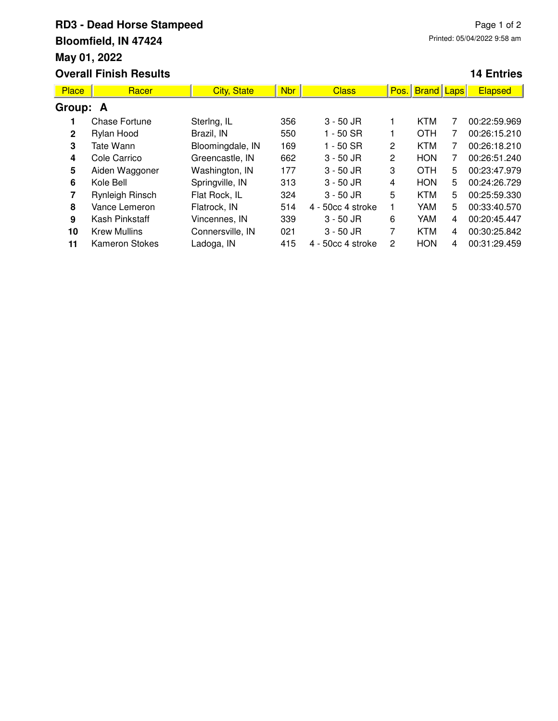## **RD3 - Dead Horse Stampeed Bloomfield, IN 47424 May 01, 2022 Overall Finish Results**

## **14 Entries**

| <b>Place</b>   | Racer                 | <b>City, State</b> | <b>Nbr</b> | <b>Class</b>      | Pos. | <b>Brand</b> Laps |   | <b>Elapsed</b> |  |
|----------------|-----------------------|--------------------|------------|-------------------|------|-------------------|---|----------------|--|
| Group: A       |                       |                    |            |                   |      |                   |   |                |  |
|                | <b>Chase Fortune</b>  | Stering, IL        | 356        | $3 - 50$ JR       |      | <b>KTM</b>        |   | 00:22:59.969   |  |
| $\overline{2}$ | Rylan Hood            | Brazil, IN         | 550        | $1 - 50$ SR       |      | <b>OTH</b>        |   | 00:26:15.210   |  |
| 3              | Tate Wann             | Bloomingdale, IN   | 169        | $1 - 50$ SR       | 2    | <b>KTM</b>        | 7 | 00:26:18.210   |  |
| 4              | Cole Carrico          | Greencastle, IN    | 662        | $3 - 50$ JR       | 2    | <b>HON</b>        | 7 | 00:26:51.240   |  |
| 5              | Aiden Waggoner        | Washington, IN     | 177        | $3 - 50$ JR       | 3    | <b>OTH</b>        | 5 | 00:23:47.979   |  |
| 6              | Kole Bell             | Springville, IN    | 313        | $3 - 50$ JR       | 4    | <b>HON</b>        | 5 | 00:24:26.729   |  |
| 7              | Rynleigh Rinsch       | Flat Rock, IL      | 324        | $3 - 50$ JR       | 5    | <b>KTM</b>        | 5 | 00:25:59.330   |  |
| 8              | Vance Lemeron         | Flatrock, IN       | 514        | 4 - 50cc 4 stroke |      | YAM               | 5 | 00:33:40.570   |  |
| 9              | Kash Pinkstaff        | Vincennes, IN      | 339        | $3 - 50$ JR       | 6    | <b>YAM</b>        | 4 | 00:20:45.447   |  |
| 10             | <b>Krew Mullins</b>   | Connersville, IN   | 021        | $3 - 50$ JR       | 7    | <b>KTM</b>        | 4 | 00:30:25.842   |  |
| 11             | <b>Kameron Stokes</b> | Ladoga, IN         | 415        | 4 - 50cc 4 stroke | 2    | <b>HON</b>        | 4 | 00:31:29.459   |  |